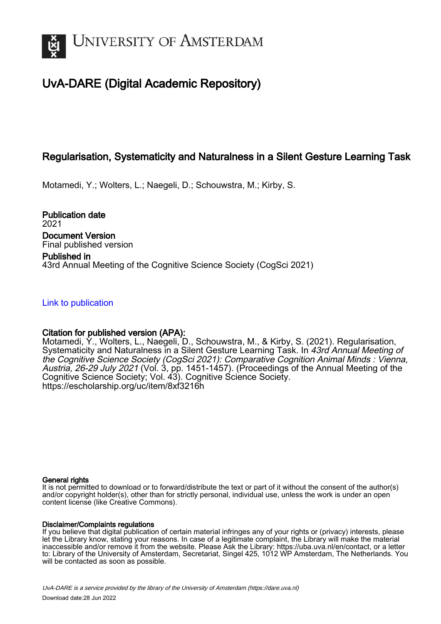

# UvA-DARE (Digital Academic Repository)

## Regularisation, Systematicity and Naturalness in a Silent Gesture Learning Task

Motamedi, Y.; Wolters, L.; Naegeli, D.; Schouwstra, M.; Kirby, S.

Publication date 2021 Document Version Final published version

Published in 43rd Annual Meeting of the Cognitive Science Society (CogSci 2021)

[Link to publication](https://dare.uva.nl/personal/pure/en/publications/regularisation-systematicity-and-naturalness-in-a-silent-gesture-learning-task(3a63336d-0203-4e5f-af59-4e351239d050).html)

## Citation for published version (APA):

Motamedi, Y., Wolters, L., Naegeli, D., Schouwstra, M., & Kirby, S. (2021). Regularisation, Systematicity and Naturalness in a Silent Gesture Learning Task. In 43rd Annual Meeting of the Cognitive Science Society (CogSci 2021): Comparative Cognition Animal Minds : Vienna, Austria, 26-29 July 2021 (Vol. 3, pp. 1451-1457). (Proceedings of the Annual Meeting of the Cognitive Science Society; Vol. 43). Cognitive Science Society. <https://escholarship.org/uc/item/8xf3216h>

#### General rights

It is not permitted to download or to forward/distribute the text or part of it without the consent of the author(s) and/or copyright holder(s), other than for strictly personal, individual use, unless the work is under an open content license (like Creative Commons).

## Disclaimer/Complaints regulations

If you believe that digital publication of certain material infringes any of your rights or (privacy) interests, please let the Library know, stating your reasons. In case of a legitimate complaint, the Library will make the material inaccessible and/or remove it from the website. Please Ask the Library: https://uba.uva.nl/en/contact, or a letter to: Library of the University of Amsterdam, Secretariat, Singel 425, 1012 WP Amsterdam, The Netherlands. You will be contacted as soon as possible.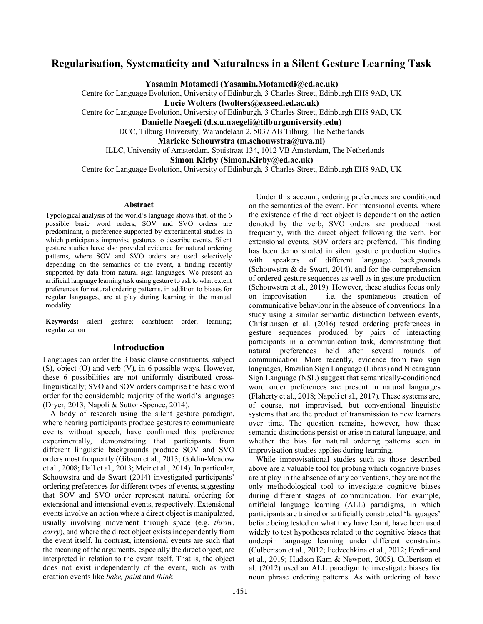## **Regularisation, Systematicity and Naturalness in a Silent Gesture Learning Task**

**Yasamin Motamedi (Yasamin.Motamedi@ed.ac.uk)**

Centre for Language Evolution, University of Edinburgh, 3 Charles Street, Edinburgh EH8 9AD, UK **Lucie Wolters (lwolters@exseed.ed.ac.uk)** Centre for Language Evolution, University of Edinburgh, 3 Charles Street, Edinburgh EH8 9AD, UK **Danielle Naegeli (d.s.u.naegeli@tilburguniversity.edu)** DCC, Tilburg University, Warandelaan 2, 5037 AB Tilburg, The Netherlands

**Marieke Schouwstra (m.schouwstra@uva.nl)**

ILLC, University of Amsterdam, Spuistraat 134, 1012 VB Amsterdam, The Netherlands

**Simon Kirby (Simon.Kirby@ed.ac.uk)**

Centre for Language Evolution, University of Edinburgh, 3 Charles Street, Edinburgh EH8 9AD, UK

#### **Abstract**

Typological analysis of the world's language shows that, of the 6 possible basic word orders, SOV and SVO orders are predominant, a preference supported by experimental studies in which participants improvise gestures to describe events. Silent gesture studies have also provided evidence for natural ordering patterns, where SOV and SVO orders are used selectively depending on the semantics of the event, a finding recently supported by data from natural sign languages. We present an artificial language learning task using gesture to ask to what extent preferences for natural ordering patterns, in addition to biases for regular languages, are at play during learning in the manual modality.

**Keywords:** silent gesture; constituent order; learning; regularization

#### **Introduction**

Languages can order the 3 basic clause constituents, subject (S), object (O) and verb (V), in 6 possible ways. However, these 6 possibilities are not uniformly distributed crosslinguistically; SVO and SOV orders comprise the basic word order for the considerable majority of the world's languages (Dryer, 2013; Napoli & Sutton-Spence, 2014).

A body of research using the silent gesture paradigm, where hearing participants produce gestures to communicate events without speech, have confirmed this preference experimentally, demonstrating that participants from different linguistic backgrounds produce SOV and SVO orders most frequently (Gibson et al., 2013; Goldin-Meadow et al., 2008; Hall et al., 2013; Meir et al., 2014). In particular, Schouwstra and de Swart (2014) investigated participants' ordering preferences for different types of events, suggesting that SOV and SVO order represent natural ordering for extensional and intensional events, respectively. Extensional events involve an action where a direct object is manipulated, usually involving movement through space (e.g. *throw*, *carry*), and where the direct object exists independently from the event itself. In contrast, intensional events are such that the meaning of the arguments, especially the direct object, are interpreted in relation to the event itself. That is, the object does not exist independently of the event, such as with creation events like *bake, paint* and *think.* 

Under this account, ordering preferences are conditioned on the semantics of the event. For intensional events, where the existence of the direct object is dependent on the action denoted by the verb, SVO orders are produced most frequently, with the direct object following the verb. For extensional events, SOV orders are preferred. This finding has been demonstrated in silent gesture production studies with speakers of different language backgrounds (Schouwstra & de Swart, 2014), and for the comprehension of ordered gesture sequences as well as in gesture production (Schouwstra et al., 2019). However, these studies focus only on improvisation — i.e. the spontaneous creation of communicative behaviour in the absence of conventions. In a study using a similar semantic distinction between events, Christiansen et al. (2016) tested ordering preferences in gesture sequences produced by pairs of interacting participants in a communication task, demonstrating that natural preferences held after several rounds of communication. More recently, evidence from two sign languages, Brazilian Sign Language (Libras) and Nicaraguan Sign Language (NSL) suggest that semantically-conditioned word order preferences are present in natural languages (Flaherty et al., 2018; Napoli et al., 2017). These systems are, of course, not improvised, but conventional linguistic systems that are the product of transmission to new learners over time. The question remains, however, how these semantic distinctions persist or arise in natural language, and whether the bias for natural ordering patterns seen in improvisation studies applies during learning.

While improvisational studies such as those described above are a valuable tool for probing which cognitive biases are at play in the absence of any conventions, they are not the only methodological tool to investigate cognitive biases during different stages of communication. For example, artificial language learning (ALL) paradigms, in which participants are trained on artificially constructed 'languages' before being tested on what they have learnt, have been used widely to test hypotheses related to the cognitive biases that underpin language learning under different constraints (Culbertson et al., 2012; Fedzechkina et al., 2012; Ferdinand et al., 2019; Hudson Kam & Newport, 2005). Culbertson et al. (2012) used an ALL paradigm to investigate biases for noun phrase ordering patterns. As with ordering of basic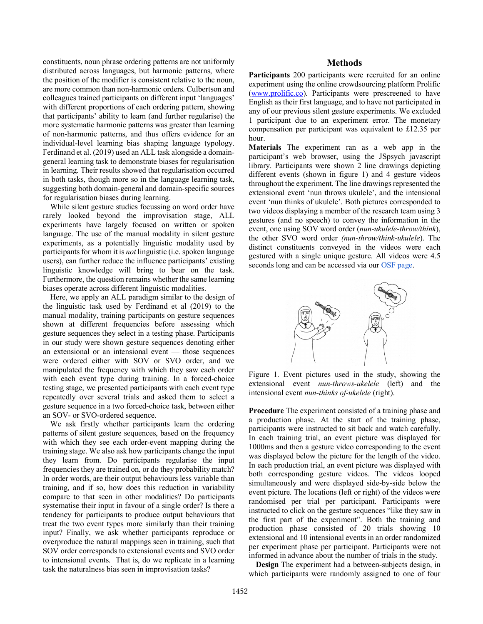constituents, noun phrase ordering patterns are not uniformly distributed across languages, but harmonic patterns, where the position of the modifier is consistent relative to the noun, are more common than non-harmonic orders. Culbertson and colleagues trained participants on different input 'languages' with different proportions of each ordering pattern, showing that participants' ability to learn (and further regularise) the more systematic harmonic patterns was greater than learning of non-harmonic patterns, and thus offers evidence for an individual-level learning bias shaping language typology. Ferdinand et al. (2019) used an ALL task alongside a domaingeneral learning task to demonstrate biases for regularisation in learning. Their results showed that regularisation occurred in both tasks, though more so in the language learning task, suggesting both domain-general and domain-specific sources for regularisation biases during learning.

While silent gesture studies focussing on word order have rarely looked beyond the improvisation stage, ALL experiments have largely focused on written or spoken language. The use of the manual modality in silent gesture experiments, as a potentially linguistic modality used by participants for whom it is *not* linguistic (i.e. spoken language users), can further reduce the influence participants' existing linguistic knowledge will bring to bear on the task. Furthermore, the question remains whether the same learning biases operate across different linguistic modalities.

Here, we apply an ALL paradigm similar to the design of the linguistic task used by Ferdinand et al (2019) to the manual modality, training participants on gesture sequences shown at different frequencies before assessing which gesture sequences they select in a testing phase. Participants in our study were shown gesture sequences denoting either an extensional or an intensional event — those sequences were ordered either with SOV or SVO order, and we manipulated the frequency with which they saw each order with each event type during training. In a forced-choice testing stage, we presented participants with each event type repeatedly over several trials and asked them to select a gesture sequence in a two forced-choice task, between either an SOV- or SVO-ordered sequence.

We ask firstly whether participants learn the ordering patterns of silent gesture sequences, based on the frequency with which they see each order-event mapping during the training stage. We also ask how participants change the input they learn from. Do participants regularise the input frequencies they are trained on, or do they probability match? In order words, are their output behaviours less variable than training, and if so, how does this reduction in variability compare to that seen in other modalities? Do participants systematise their input in favour of a single order? Is there a tendency for participants to produce output behaviours that treat the two event types more similarly than their training input? Finally, we ask whether participants reproduce or overproduce the natural mappings seen in training, such that SOV order corresponds to extensional events and SVO order to intensional events. That is, do we replicate in a learning task the naturalness bias seen in improvisation tasks?

#### **Methods**

**Participants** 200 participants were recruited for an online experiment using the online crowdsourcing platform Prolific (www.prolific.co). Participants were prescreened to have English as their first language, and to have not participated in any of our previous silent gesture experiments. We excluded 1 participant due to an experiment error. The monetary compensation per participant was equivalent to £12.35 per hour.

**Materials** The experiment ran as a web app in the participant's web browser, using the JSpsych javascript library. Participants were shown 2 line drawings depicting different events (shown in figure 1) and 4 gesture videos throughout the experiment. The line drawings represented the extensional event 'nun throws ukulele', and the intensional event 'nun thinks of ukulele'. Both pictures corresponded to two videos displaying a member of the research team using 3 gestures (and no speech) to convey the information in the event, one using SOV word order (*nun-ukulele-throw/think*), the other SVO word order *(nun-throw/think-ukulele*). The distinct constituents conveyed in the videos were each gestured with a single unique gesture. All videos were 4.5 seconds long and can be accessed via our OSF page.



Figure 1. Event pictures used in the study, showing the extensional event *nun-throws-ukelele* (left) and the left and the left hand the left hand figure represents and the intensional event *nun-thinks of-ukelele* (right).

**Procedure** The experiment consisted of a training phase and a production phase. At the start of the training phase, participants were instructed to sit back and watch carefully. In each training trial, an event picture was displayed for 1000ms and then a gesture video corresponding to the event was displayed below the picture for the length of the video. In each production trial, an event picture was displayed with both corresponding gesture videos. The videos looped simultaneously and were displayed side-by-side below the event picture. The locations (left or right) of the videos were randomised per trial per participant. Participants were instructed to click on the gesture sequences "like they saw in the first part of the experiment". Both the training and production phase consisted of 20 trials showing 10 extensional and 10 intensional events in an order randomized per experiment phase per participant. Participants were not informed in advance about the number of trials in the study.

**Design** The experiment had a between-subjects design, in which participants were randomly assigned to one of four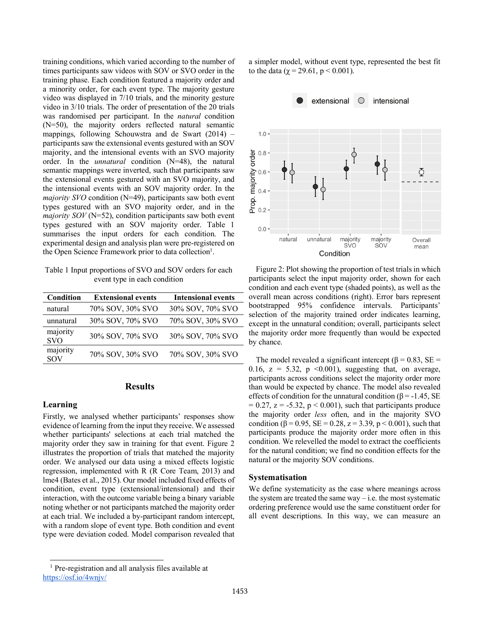training conditions, which varied according to the number of times participants saw videos with SOV or SVO order in the training phase. Each condition featured a majority order and a minority order, for each event type. The majority gesture video was displayed in 7/10 trials, and the minority gesture video in 3/10 trials. The order of presentation of the 20 trials was randomised per participant. In the *natural* condition (N=50), the majority orders reflected natural semantic mappings, following Schouwstra and de Swart (2014) – participants saw the extensional events gestured with an SOV majority, and the intensional events with an SVO majority order. In the *unnatural* condition (N=48), the natural semantic mappings were inverted, such that participants saw the extensional events gestured with an SVO majority, and the intensional events with an SOV majority order. In the *majority SVO* condition (N=49), participants saw both event types gestured with an SVO majority order, and in the *majority SOV* (N=52), condition participants saw both event types gestured with an SOV majority order. Table 1 summarises the input orders for each condition. The experimental design and analysis plan were pre-registered on the Open Science Framework prior to data collection<sup>1</sup>.

Table 1 Input proportions of SVO and SOV orders for each event type in each condition

| Condition              | <b>Extensional events</b> | <b>Intensional events</b> |
|------------------------|---------------------------|---------------------------|
| natural                | 70% SOV, 30% SVO          | 30% SOV, 70% SVO          |
| unnatural              | 30% SOV, 70% SVO          | 70% SOV, 30% SVO          |
| majority<br><b>SVO</b> | 30% SOV, 70% SVO          | 30% SOV, 70% SVO          |
| majority<br>SOV        | 70% SOV, 30% SVO          | 70% SOV, 30% SVO          |

## **Results**

#### **Learning**

Firstly, we analysed whether participants' responses show evidence of learning from the input they receive. We assessed whether participants' selections at each trial matched the majority order they saw in training for that event. Figure 2 illustrates the proportion of trials that matched the majority order. We analysed our data using a mixed effects logistic regression, implemented with R (R Core Team, 2013) and lme4 (Bates et al., 2015). Our model included fixed effects of condition, event type (extensional/intensional) and their interaction, with the outcome variable being a binary variable noting whether or not participants matched the majority order at each trial. We included a by-participant random intercept, with a random slope of event type. Both condition and event type were deviation coded. Model comparison revealed that

a simpler model, without event type, represented the best fit to the data ( $\gamma = 29.61$ ,  $p < 0.001$ ).



Figure 2: Plot showing the proportion of test trials in which participants select the input majority order, shown for each condition and each event type (shaded points), as well as the overall mean across conditions (right). Error bars represent bootstrapped 95% confidence intervals. Participants' selection of the majority trained order indicates learning, except in the unnatural condition; overall, participants select the majority order more frequently than would be expected by chance.

The model revealed a significant intercept ( $\beta$  = 0.83, SE = 0.16,  $z = 5.32$ ,  $p \le 0.001$ ), suggesting that, on average, participants across conditions select the majority order more than would be expected by chance. The model also revealed effects of condition for the unnatural condition ( $\beta$  = -1.45, SE  $= 0.27$ ,  $z = -5.32$ ,  $p < 0.001$ ), such that participants produce the majority order *less* often, and in the majority SVO condition ( $\beta$  = 0.95, SE = 0.28, z = 3.39, p < 0.001), such that participants produce the majority order more often in this condition. We relevelled the model to extract the coefficients for the natural condition; we find no condition effects for the natural or the majority SOV conditions.

#### **Systematisation**

We define systematicity as the case where meanings across the system are treated the same  $way - i.e.$  the most systematic ordering preference would use the same constituent order for all event descriptions. In this way, we can measure an

 <sup>1</sup> Pre-registration and all analysis files available at https://osf.io/4wnjv/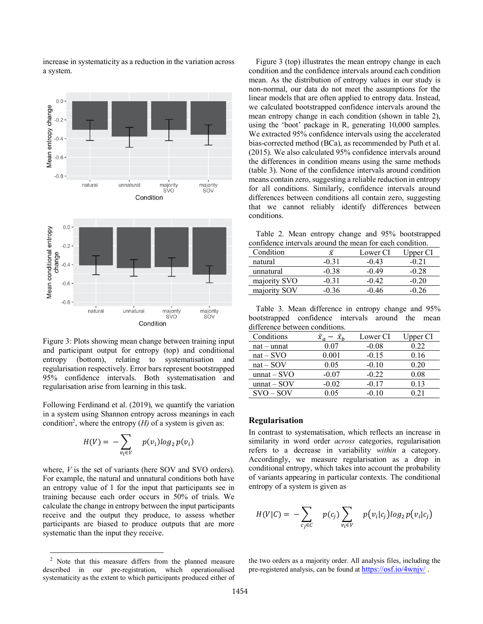increase in systematicity as a reduction in the variation across a system.



Figure 3: Plots showing mean change between training input and participant output for entropy (top) and conditional entropy (bottom), relating to systematisation and regularisation respectively. Error bars represent bootstrapped 95% confidence intervals. Both systematisation and regularisation arise from learning in this task.

Following Ferdinand et al. (2019), we quantify the variation in a system using Shannon entropy across meanings in each condition<sup>2</sup>, where the entropy  $(H)$  of a system is given as:

$$
H(V) = -\sum_{v_i \in V} p(v_i) \log_2 p(v_i)
$$

where, *V* is the set of variants (here SOV and SVO orders). For example, the natural and unnatural conditions both have an entropy value of 1 for the input that participants see in training because each order occurs in 50% of trials. We calculate the change in entropy between the input participants receive and the output they produce, to assess whether participants are biased to produce outputs that are more systematic than the input they receive.

Figure 3 (top) illustrates the mean entropy change in each condition and the confidence intervals around each condition mean. As the distribution of entropy values in our study is non-normal, our data do not meet the assumptions for the linear models that are often applied to entropy data. Instead, we calculated bootstrapped confidence intervals around the mean entropy change in each condition (shown in table 2), using the 'boot' package in R, generating 10,000 samples. We extracted 95% confidence intervals using the accelerated bias-corrected method (BCa), as recommended by Puth et al. (2015). We also calculated 95% confidence intervals around the differences in condition means using the same methods (table 3). None of the confidence intervals around condition means contain zero, suggesting a reliable reduction in entropy for all conditions. Similarly, confidence intervals around differences between conditions all contain zero, suggesting that we cannot reliably identify differences between conditions.

Table 2. Mean entropy change and 95% bootstrapped confidence intervals around the mean for each condition.

| Condition    | $\chi$  | Lower CI | Upper CI |
|--------------|---------|----------|----------|
| natural      | $-0.31$ | -0.43    | $-0.21$  |
| unnatural    | $-0.38$ | $-0.49$  | $-0.28$  |
| majority SVO | $-0.31$ | -0.42    | $-0.20$  |
| majority SOV | $-0.36$ | -0 46    | $-0.26$  |

Table 3. Mean difference in entropy change and 95% bootstrapped confidence intervals around the mean difference between conditions.

| Conditions    |           | Lower CI | Upper CI |
|---------------|-----------|----------|----------|
| $nat - unnat$ | 0 07      | $-0.08$  | 0.22     |
| $nat - SVO$   | $0.001\,$ | $-0.15$  | 0.16     |
| $nat - SOV$   | 0.05      | $-0.10$  | 0.20     |
| $unnat - SVO$ | $-0.07$   | $-0.22$  | 0.08     |
| $unnat - SOV$ | $-0.02$   | $-0.17$  | 0.13     |
| $SVO - SOV$   | ) 05      | $-0.10$  |          |

#### **Regularisation**

In contrast to systematisation, which reflects an increase in similarity in word order *across* categories, regularisation refers to a decrease in variability *within* a category. Accordingly, we measure regularisation as a drop in conditional entropy, which takes into account the probability of variants appearing in particular contexts. The conditional entropy of a system is given as

$$
H(V|C) = -\sum_{c_j \in C} p(c_j) \sum_{v_i \in V} p(v_i|c_j) log_2 p(v_i|c_j)
$$

the two orders as a majority order. All analysis files, including the pre-registered analysis, can be found at https://osf.io/4wnjv/ .

 <sup>2</sup> Note that this measure differs from the planned measure described in our pre-registration, which operationalised systematicity as the extent to which participants produced either of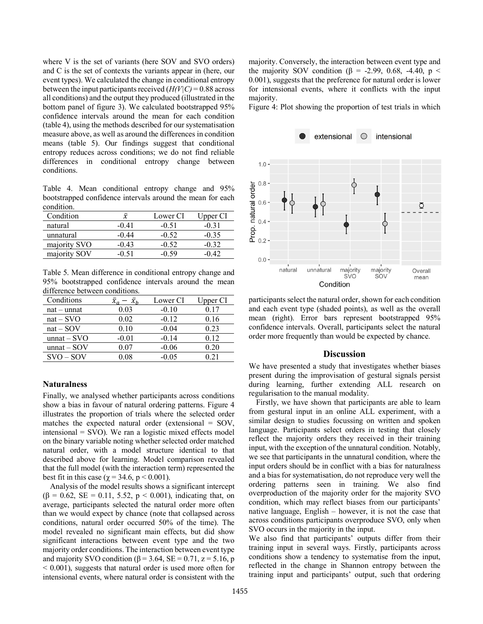where V is the set of variants (here SOV and SVO orders) and C is the set of contexts the variants appear in (here, our event types). We calculated the change in conditional entropy between the input participants received  $(H(V|C) = 0.88$  across all conditions) and the output they produced (illustrated in the bottom panel of figure 3). We calculated bootstrapped 95% confidence intervals around the mean for each condition (table 4), using the methods described for our systematisation measure above, as well as around the differences in condition means (table 5). Our findings suggest that conditional entropy reduces across conditions; we do not find reliable differences in conditional entropy change between conditions.

Table 4. Mean conditional entropy change and 95% bootstrapped confidence intervals around the mean for each condition.

| Condition    | x     | Lower CI | Upper CI |
|--------------|-------|----------|----------|
| natural      | -0 41 | $-0.51$  | -0.31    |
| unnatural    | -0 44 | $-0.52$  | $-0.35$  |
| majority SVO | -0 43 | $-0.52$  | -0.32    |
| majority SOV |       | -0.59    |          |

Table 5. Mean difference in conditional entropy change and 95% bootstrapped confidence intervals around the mean difference between conditions.

| Conditions    |          | Lower CI | Upper CI |
|---------------|----------|----------|----------|
| $nat - unnat$ | 0.03     | $-0.10$  | 0.17     |
| $nat - SVO$   | 0.02     | $-0.12$  | 0.16     |
| $nat - SOV$   | 0.10     | $-0.04$  | 0.23     |
| $unnat - SVO$ | $-0.01$  | $-0.14$  | 0 12     |
| $unnat - SOV$ | 0.07     | $-0.06$  | 0.20     |
| $SVO - SOV$   | $0.08\,$ | $-0.05$  |          |

#### **Naturalness**

Finally, we analysed whether participants across conditions show a bias in favour of natural ordering patterns. Figure 4 illustrates the proportion of trials where the selected order matches the expected natural order (extensional = SOV, intensional = SVO). We ran a logistic mixed effects model on the binary variable noting whether selected order matched natural order, with a model structure identical to that described above for learning. Model comparison revealed that the full model (with the interaction term) represented the best fit in this case ( $\chi$  = 34.6, p < 0.001).

Analysis of the model results shows a significant intercept ( $\beta$  = 0.62, SE = 0.11, 5.52, p < 0.001), indicating that, on average, participants selected the natural order more often than we would expect by chance (note that collapsed across conditions, natural order occurred 50% of the time). The model revealed no significant main effects, but did show significant interactions between event type and the two majority order conditions. The interaction between event type and majority SVO condition ( $\beta$  = 3.64, SE = 0.71, z = 5.16, p  $\leq 0.001$ ), suggests that natural order is used more often for intensional events, where natural order is consistent with the

majority. Conversely, the interaction between event type and the majority SOV condition ( $\beta$  = -2.99, 0.68, -4.40, p < 0.001), suggests that the preference for natural order is lower for intensional events, where it conflicts with the input majority.

Figure 4: Plot showing the proportion of test trials in which



participants select the natural order, shown for each condition and each event type (shaded points), as well as the overall mean (right). Error bars represent bootstrapped 95% confidence intervals. Overall, participants select the natural order more frequently than would be expected by chance.

#### **Discussion**

We have presented a study that investigates whether biases present during the improvisation of gestural signals persist during learning, further extending ALL research on regularisation to the manual modality.

Firstly, we have shown that participants are able to learn from gestural input in an online ALL experiment, with a similar design to studies focussing on written and spoken language. Participants select orders in testing that closely reflect the majority orders they received in their training input, with the exception of the unnatural condition. Notably, we see that participants in the unnatural condition, where the input orders should be in conflict with a bias for naturalness and a bias for systematisation, do not reproduce very well the ordering patterns seen in training. We also find overproduction of the majority order for the majority SVO condition, which may reflect biases from our participants' native language, English – however, it is not the case that across conditions participants overproduce SVO, only when SVO occurs in the majority in the input.

We also find that participants' outputs differ from their training input in several ways. Firstly, participants across conditions show a tendency to systematise from the input, reflected in the change in Shannon entropy between the training input and participants' output, such that ordering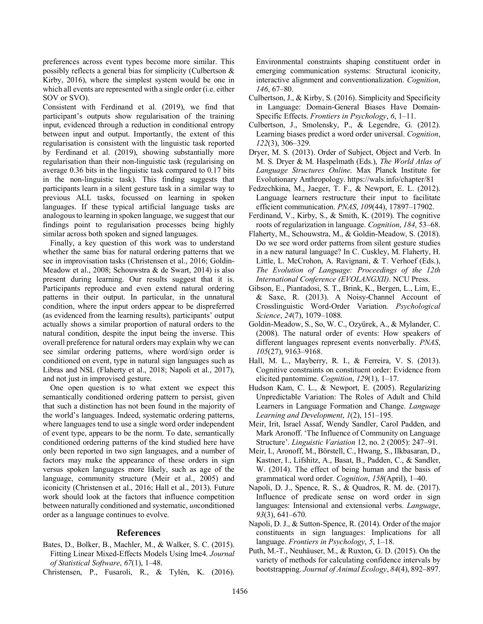preferences across event types become more similar. This possibly reflects a general bias for simplicity (Culbertson & Kirby, 2016), where the simplest system would be one in which all events are represented with a single order (i.e. either SOV or SVO).

Consistent with Ferdinand et al. (2019), we find that participant's outputs show regularisation of the training input, evidenced through a reduction in conditional entropy between input and output. Importantly, the extent of this regularisation is consistent with the linguistic task reported by Ferdinand et al. (2019), showing substantially more regularisation than their non-linguistic task (regularising on average 0.36 bits in the linguistic task compared to 0.17 bits in the non-linguistic task). This finding suggests that participants learn in a silent gesture task in a similar way to previous ALL tasks, focussed on learning in spoken languages. If these typical artificial language tasks are analogous to learning in spoken language, we suggest that our findings point to regularisation processes being highly similar across both spoken and signed languages.

Finally, a key question of this work was to understand whether the same bias for natural ordering patterns that we see in improvisation tasks (Christensen et al., 2016; Goldin-Meadow et al., 2008; Schouwstra & de Swart, 2014) is also present during learning. Our results suggest that it is. Participants reproduce and even extend natural ordering patterns in their output. In particular, in the unnatural condition, where the input orders appear to be dispreferred (as evidenced from the learning results), participants' output actually shows a similar proportion of natural orders to the natural condition, despite the input being the inverse. This overall preference for natural orders may explain why we can see similar ordering patterns, where word/sign order is conditioned on event, type in natural sign languages such as Libras and NSL (Flaherty et al., 2018; Napoli et al., 2017), and not just in improvised gesture.

One open question is to what extent we expect this semantically conditioned ordering pattern to persist, given that such a distinction has not been found in the majority of the world's languages. Indeed, systematic ordering patterns, where languages tend to use a single word order independent of event type, appears to be the norm. To date, semantically conditioned ordering patterns of the kind studied here have only been reported in two sign languages, and a number of factors may make the appearance of these orders in sign versus spoken languages more likely, such as age of the language, community structure (Meir et al., 2005) and iconicity (Christensen et al., 2016; Hall et al., 2013). Future work should look at the factors that influence competition between naturally conditioned and systematic, *un*conditioned order as a language continues to evolve.

#### **References**

- Bates, D., Bolker, B., Machler, M., & Walker, S. C. (2015). Fitting Linear Mixed-Effects Models Using lme4. *Journal of Statistical Software*, *67*(1), 1–48.
- Christensen, P., Fusaroli, R., & Tylén, K. (2016).

Environmental constraints shaping constituent order in emerging communication systems: Structural iconicity, interactive alignment and conventionalization. *Cognition*, *146*, 67–80.

- Culbertson, J., & Kirby, S. (2016). Simplicity and Specificity in Language: Domain-General Biases Have Domain-Specific Effects. *Frontiers in Psychology*, *6*, 1–11.
- Culbertson, J., Smolensky, P., & Legendre, G. (2012). Learning biases predict a word order universal. *Cognition*, *122*(3), 306–329.
- Dryer, M. S. (2013). Order of Subject, Object and Verb. In M. S. Dryer & M. Haspelmath (Eds.), *The World Atlas of Language Structures Online*. Max Planck Institute for Evolutionary Anthropology. https://wals.info/chapter/81
- Fedzechkina, M., Jaeger, T. F., & Newport, E. L. (2012). Language learners restructure their input to facilitate efficient communication. *PNAS*, *109*(44), 17897–17902.
- Ferdinand, V., Kirby, S., & Smith, K. (2019). The cognitive roots of regularization in language. *Cognition*, *184*, 53–68.
- Flaherty, M., Schouwstra, M., & Goldin-Meadow, S. (2018). Do we see word order patterns from silent gesture studies in a new natural language? In C. Cuskley, M. Flaherty, H. Little, L. McCrohon, A. Ravignani, & T. Verhoef (Eds.), *The Evolution of Language: Proceedings of the 12th International Conference (EVOLANGXII)*. NCU Press.
- Gibson, E., Piantadosi, S. T., Brink, K., Bergen, L., Lim, E., & Saxe, R. (2013). A Noisy-Channel Account of Crosslinguistic Word-Order Variation. *Psychological Science*, *24*(7), 1079–1088.
- Goldin-Meadow, S., So, W. C., Ozyürek, A., & Mylander, C. (2008). The natural order of events: How speakers of different languages represent events nonverbally. *PNAS*, *105*(27), 9163–9168.
- Hall, M. L., Mayberry, R. I., & Ferreira, V. S. (2013). Cognitive constraints on constituent order: Evidence from elicited pantomime. *Cognition*, *129*(1), 1–17.
- Hudson Kam, C. L., & Newport, E. (2005). Regularizing Unpredictable Variation: The Roles of Adult and Child Learners in Language Formation and Change. *Language Learning and Development*, *1*(2), 151–195.
- Meir, Irit, Israel Assaf, Wendy Sandler, Carol Padden, and Mark Aronoff. 'The Influence of Community on Language Structure'. *Linguistic Variation* 12, no. 2 (2005): 247–91.
- Meir, I., Aronoff, M., Börstell, C., Hwang, S., Ilkbasaran, D., Kastner, I., Lifshitz, A., Basat, B., Padden, C., & Sandler, W. (2014). The effect of being human and the basis of grammatical word order. *Cognition*, *158*(April), 1–40.
- Napoli, D. J., Spence, R. S., & Quadros, R. M. de. (2017). Influence of predicate sense on word order in sign languages: Intensional and extensional verbs. *Language*, *93*(3), 641–670.
- Napoli, D. J., & Sutton-Spence, R. (2014). Order of the major constituents in sign languages: Implications for all language. *Frontiers in Psychology*, *5*, 1–18.
- Puth, M.-T., Neuhäuser, M., & Ruxton, G. D. (2015). On the variety of methods for calculating confidence intervals by bootstrapping. *Journal of Animal Ecology*, *84*(4), 892–897.